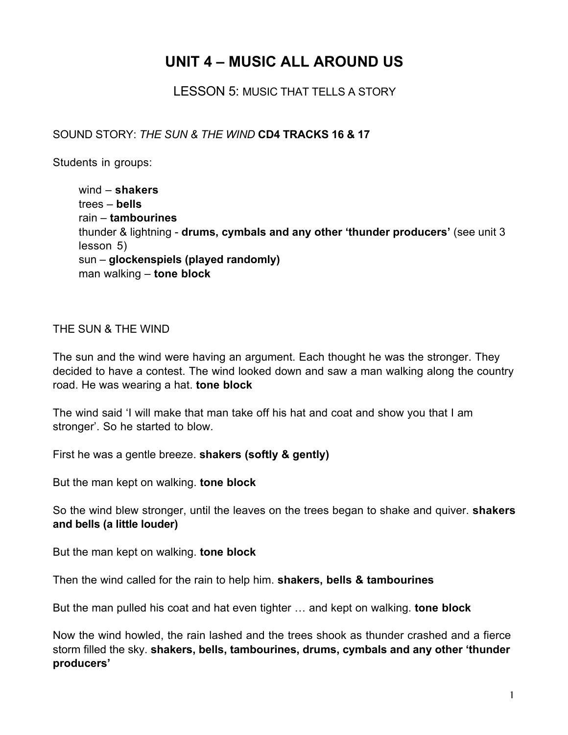## **UNIT 4 – MUSIC ALL AROUND US**

LESSON 5: MUSIC THAT TELLS A STORY

SOUND STORY: *THE SUN & THE WIND* **CD4 TRACKS 16 & 17**

Students in groups:

wind – **shakers** trees – **bells** rain – **tambourines** thunder & lightning - **drums, cymbals and any other 'thunder producers'** (see unit 3 lesson 5) sun – **glockenspiels (played randomly)** man walking – **tone block**

## THE SUN & THE WIND

The sun and the wind were having an argument. Each thought he was the stronger. They decided to have a contest. The wind looked down and saw a man walking along the country road. He was wearing a hat. **tone block**

The wind said 'I will make that man take off his hat and coat and show you that I am stronger'. So he started to blow.

First he was a gentle breeze. **shakers (softly & gently)**

But the man kept on walking. **tone block**

So the wind blew stronger, until the leaves on the trees began to shake and quiver. **shakers and bells (a little louder)**

But the man kept on walking. **tone block**

Then the wind called for the rain to help him. **shakers, bells & tambourines**

But the man pulled his coat and hat even tighter … and kept on walking. **tone block**

Now the wind howled, the rain lashed and the trees shook as thunder crashed and a fierce storm filled the sky. **shakers, bells, tambourines, drums, cymbals and any other 'thunder producers'**